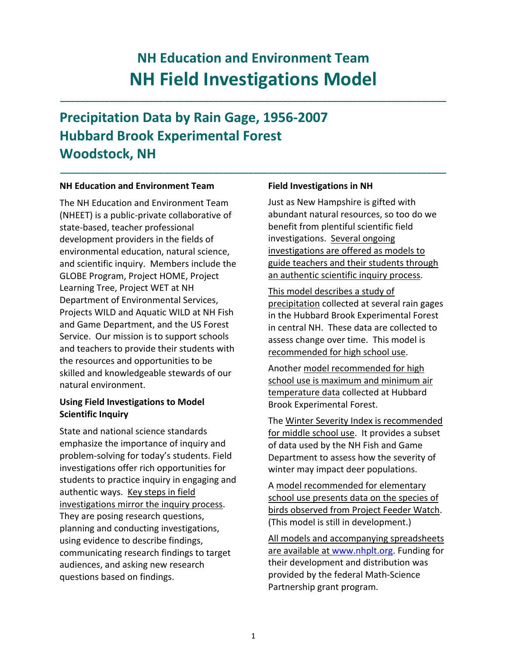# **NH Education and Environment Team NH Field Investigations Model**

**\_\_\_\_\_\_\_\_\_\_\_\_\_\_\_\_\_\_\_\_\_\_\_\_\_\_\_\_\_\_\_\_\_\_\_\_\_\_\_\_\_\_\_\_\_\_\_\_\_\_\_\_\_\_\_\_\_\_\_\_\_\_\_\_\_\_\_\_\_\_\_\_\_\_\_\_\_\_**

**\_\_\_\_\_\_\_\_\_\_\_\_\_\_\_\_\_\_\_\_\_\_\_\_\_\_\_\_\_\_\_\_\_\_\_\_\_\_\_\_\_\_\_\_\_\_\_\_\_\_\_\_\_\_\_\_\_\_\_\_\_\_\_\_\_\_\_\_\_\_\_\_\_\_\_\_\_\_**

# **Precipitation Data by Rain Gage, 1956‐2007 Hubbard Brook Experimental Forest Woodstock, NH**

#### **NH Education and Environment Team**

The NH Education and Environment Team (NHEET) is a public‐private collaborative of state‐based, teacher professional development providers in the fields of environmental education, natural science, and scientific inquiry. Members include the GLOBE Program, Project HOME, Project Learning Tree, Project WET at NH Department of Environmental Services, Projects WILD and Aquatic WILD at NH Fish and Game Department, and the US Forest Service. Our mission is to support schools and teachers to provide their students with the resources and opportunities to be skilled and knowledgeable stewards of our natural environment.

### **Using Field Investigations to Model Scientific Inquiry**

State and national science standards emphasize the importance of inquiry and problem‐solving for today's students. Field investigations offer rich opportunities for students to practice inquiry in engaging and authentic ways. Key steps in field investigations mirror the inquiry process. They are posing research questions, planning and conducting investigations, using evidence to describe findings, communicating research findings to target audiences, and asking new research questions based on findings.

#### **Field Investigations in NH**

Just as New Hampshire is gifted with abundant natural resources, so too do we benefit from plentiful scientific field investigations. Several ongoing investigations are offered as models to guide teachers and their students through an authentic scientific inquiry process.

This model describes a study of precipitation collected at several rain gages in the Hubbard Brook Experimental Forest in central NH. These data are collected to assess change over time. This model is recommended for high school use.

Another model recommended for high school use is maximum and minimum air temperature data collected at Hubbard Brook Experimental Forest.

The Winter Severity Index is recommended for middle school use. It provides a subset of data used by the NH Fish and Game Department to assess how the severity of winter may impact deer populations.

A model recommended for elementary school use presents data on the species of birds observed from Project Feeder Watch. (This model is still in development.)

All models and accompanying spreadsheets are available at www.nhplt.org. Funding for their development and distribution was provided by the federal Math‐Science Partnership grant program.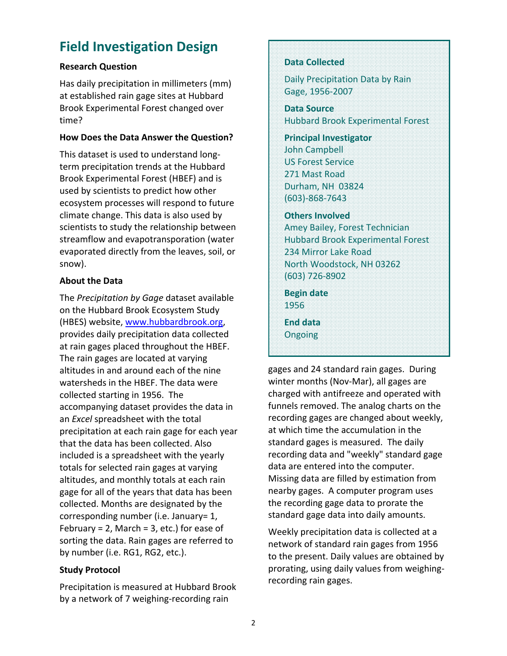# **Field Investigation Design**

# **Research Question**

Has daily precipitation in millimeters (mm) at established rain gage sites at Hubbard Brook Experimental Forest changed over time?

#### **How Does the Data Answer the Question?**

This dataset is used to understand long‐ term precipitation trends at the Hubbard Brook Experimental Forest (HBEF) and is used by scientists to predict how other ecosystem processes will respond to future climate change. This data is also used by scientists to study the relationship between streamflow and evapotransporation (water evaporated directly from the leaves, soil, or snow).

# **About the Data**

The *Precipitation by Gage* dataset available on the Hubbard Brook Ecosystem Study (HBES) website, www.hubbardbrook.org, provides daily precipitation data collected at rain gages placed throughout the HBEF. The rain gages are located at varying altitudes in and around each of the nine watersheds in the HBEF. The data were collected starting in 1956. The accompanying dataset provides the data in an *Excel* spreadsheet with the total precipitation at each rain gage for each year that the data has been collected. Also included is a spreadsheet with the yearly totals for selected rain gages at varying altitudes, and monthly totals at each rain gage for all of the years that data has been collected. Months are designated by the corresponding number (i.e. January= 1, February = 2, March = 3, etc.) for ease of sorting the data. Rain gages are referred to by number (i.e. RG1, RG2, etc.).

# **Study Protocol**

Precipitation is measured at Hubbard Brook by a network of 7 weighing‐recording rain

# **Data Collected**

Daily Precipitation Data by Rain Gage, 1956‐2007

**Data Source** Hubbard Brook Experimental Forest

**Principal Investigator** John Campbell US Forest Service 271 Mast Road Durham, NH 03824 (603)‐868‐7643

### **Others Involved**

Amey Bailey, Forest Technician Hubbard Brook Experimental Forest 234 Mirror Lake Road North Woodstock, NH 03262 (603) 726‐8902

**Begin date** 1956

**End data** Ongoing

gages and 24 standard rain gages. During winter months (Nov‐Mar), all gages are charged with antifreeze and operated with funnels removed. The analog charts on the recording gages are changed about weekly, at which time the accumulation in the standard gages is measured. The daily recording data and "weekly" standard gage data are entered into the computer. Missing data are filled by estimation from nearby gages. A computer program uses the recording gage data to prorate the standard gage data into daily amounts.

Weekly precipitation data is collected at a network of standard rain gages from 1956 to the present. Daily values are obtained by prorating, using daily values from weighing‐ recording rain gages.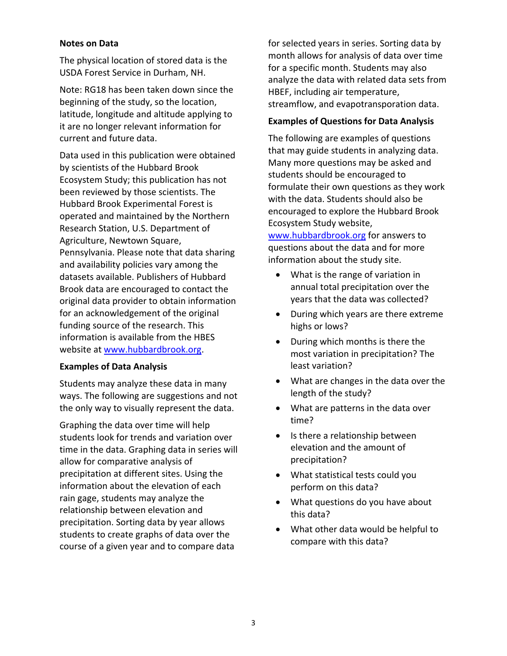#### **Notes on Data**

The physical location of stored data is the USDA Forest Service in Durham, NH.

Note: RG18 has been taken down since the beginning of the study, so the location, latitude, longitude and altitude applying to it are no longer relevant information for current and future data.

Data used in this publication were obtained by scientists of the Hubbard Brook Ecosystem Study; this publication has not been reviewed by those scientists. The Hubbard Brook Experimental Forest is operated and maintained by the Northern Research Station, U.S. Department of Agriculture, Newtown Square, Pennsylvania. Please note that data sharing and availability policies vary among the datasets available. Publishers of Hubbard Brook data are encouraged to contact the original data provider to obtain information for an acknowledgement of the original funding source of the research. This information is available from the HBES website at www.hubbardbrook.org.

#### **Examples of Data Analysis**

Students may analyze these data in many ways. The following are suggestions and not the only way to visually represent the data.

Graphing the data over time will help students look for trends and variation over time in the data. Graphing data in series will allow for comparative analysis of precipitation at different sites. Using the information about the elevation of each rain gage, students may analyze the relationship between elevation and precipitation. Sorting data by year allows students to create graphs of data over the course of a given year and to compare data

for selected years in series. Sorting data by month allows for analysis of data over time for a specific month. Students may also analyze the data with related data sets from HBEF, including air temperature, streamflow, and evapotransporation data.

### **Examples of Questions for Data Analysis**

The following are examples of questions that may guide students in analyzing data. Many more questions may be asked and students should be encouraged to formulate their own questions as they work with the data. Students should also be encouraged to explore the Hubbard Brook Ecosystem Study website,

www.hubbardbrook.org for answers to questions about the data and for more information about the study site.

- What is the range of variation in annual total precipitation over the years that the data was collected?
- During which years are there extreme highs or lows?
- During which months is there the most variation in precipitation? The least variation?
- What are changes in the data over the length of the study?
- What are patterns in the data over time?
- Is there a relationship between elevation and the amount of precipitation?
- What statistical tests could you perform on this data?
- What questions do you have about this data?
- What other data would be helpful to compare with this data?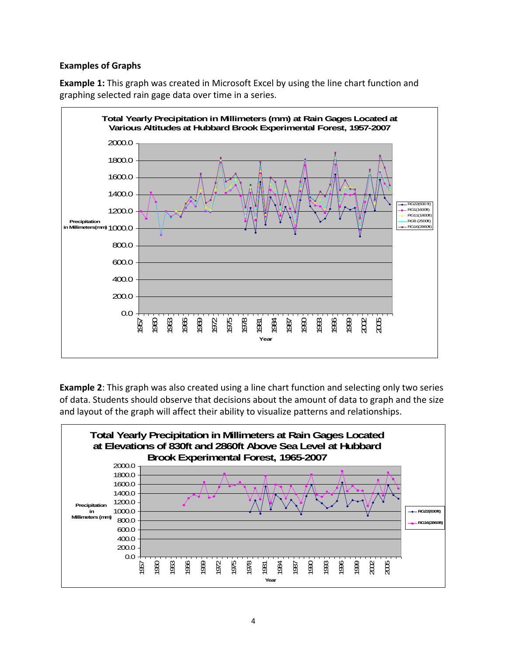### **Examples of Graphs**

**Example 1:** This graph was created in Microsoft Excel by using the line chart function and graphing selected rain gage data over time in a series.



**Example 2**: This graph was also created using a line chart function and selecting only two series of data. Students should observe that decisions about the amount of data to graph and the size and layout of the graph will affect their ability to visualize patterns and relationships.